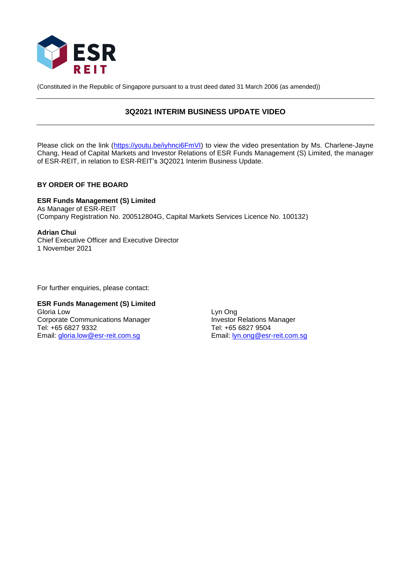

(Constituted in the Republic of Singapore pursuant to a trust deed dated 31 March 2006 (as amended))

# **3Q2021 INTERIM BUSINESS UPDATE VIDEO**

Please click on the link [\(https://youtu.be/iyhnci6FmVI\)](https://youtu.be/iyhnci6FmVI) to view the video presentation by Ms. Charlene-Jayne Chang, Head of Capital Markets and Investor Relations of ESR Funds Management (S) Limited, the manager of ESR-REIT, in relation to ESR-REIT's 3Q2021 Interim Business Update.

## **BY ORDER OF THE BOARD**

**ESR Funds Management (S) Limited**  As Manager of ESR-REIT (Company Registration No. 200512804G, Capital Markets Services Licence No. 100132)

**Adrian Chui** Chief Executive Officer and Executive Director 1 November 2021

For further enquiries, please contact:

#### **ESR Funds Management (S) Limited** Gloria Low Lyn Ong

Corporate Communications Manager **Investor Relations Manager** Tel: +65 6827 9332 Tel: +65 6827 9504 Email: [gloria.low@esr-reit.com.sg](mailto:gloria.low@esr-reit.com.sg)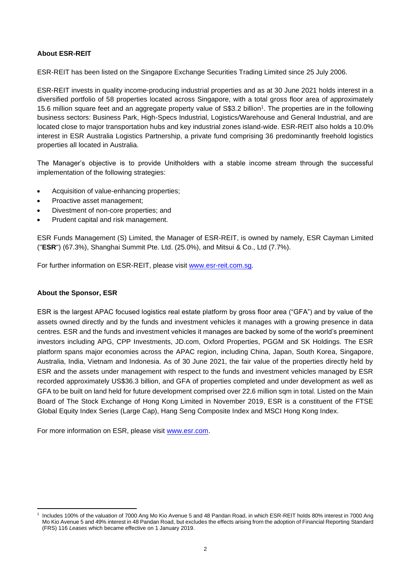## **About ESR-REIT**

ESR-REIT has been listed on the Singapore Exchange Securities Trading Limited since 25 July 2006.

ESR-REIT invests in quality income-producing industrial properties and as at 30 June 2021 holds interest in a diversified portfolio of 58 properties located across Singapore, with a total gross floor area of approximately 15.6 million square feet and an aggregate property value of S\$3.2 billion<sup>1</sup>. The properties are in the following business sectors: Business Park, High-Specs Industrial, Logistics/Warehouse and General Industrial, and are located close to major transportation hubs and key industrial zones island-wide. ESR-REIT also holds a 10.0% interest in ESR Australia Logistics Partnership, a private fund comprising 36 predominantly freehold logistics properties all located in Australia.

The Manager's objective is to provide Unitholders with a stable income stream through the successful implementation of the following strategies:

- Acquisition of value-enhancing properties;
- Proactive asset management:
- Divestment of non-core properties; and
- Prudent capital and risk management.

ESR Funds Management (S) Limited, the Manager of ESR-REIT, is owned by namely, ESR Cayman Limited ("**ESR**") (67.3%), Shanghai Summit Pte. Ltd. (25.0%), and Mitsui & Co., Ltd (7.7%).

For further information on ESR-REIT, please visit [www.esr-reit.com.sg.](http://www.esr-reit.com.sg/)

## **About the Sponsor, ESR**

ESR is the largest APAC focused logistics real estate platform by gross floor area ("GFA") and by value of the assets owned directly and by the funds and investment vehicles it manages with a growing presence in data centres. ESR and the funds and investment vehicles it manages are backed by some of the world's preeminent investors including APG, CPP Investments, JD.com, Oxford Properties, PGGM and SK Holdings. The ESR platform spans major economies across the APAC region, including China, Japan, South Korea, Singapore, Australia, India, Vietnam and Indonesia. As of 30 June 2021, the fair value of the properties directly held by ESR and the assets under management with respect to the funds and investment vehicles managed by ESR recorded approximately US\$36.3 billion, and GFA of properties completed and under development as well as GFA to be built on land held for future development comprised over 22.6 million sqm in total. Listed on the Main Board of The Stock Exchange of Hong Kong Limited in November 2019, ESR is a constituent of the FTSE Global Equity Index Series (Large Cap), Hang Seng Composite Index and MSCI Hong Kong Index.

For more information on ESR, please visit [www.esr.com.](https://apc01.safelinks.protection.outlook.com/?url=http%3A%2F%2Fwww.esr.com&data=02%7C01%7Cgloria.low%40esr-reit.com.sg%7Cb18ed7da682643de8b7008d766916f05%7C6ed733c0622d401d8f49b2984c7d765f%7C0%7C0%7C637090647129612986&sdata=hiUu8gk6thHcFkbiXEp08i9y2Ux64on2c0ivRFvmSek%3D&reserved=0)

<sup>1</sup> Includes 100% of the valuation of 7000 Ang Mo Kio Avenue 5 and 48 Pandan Road, in which ESR-REIT holds 80% interest in 7000 Ang Mo Kio Avenue 5 and 49% interest in 48 Pandan Road, but excludes the effects arising from the adoption of Financial Reporting Standard (FRS) 116 *Leases* which became effective on 1 January 2019.